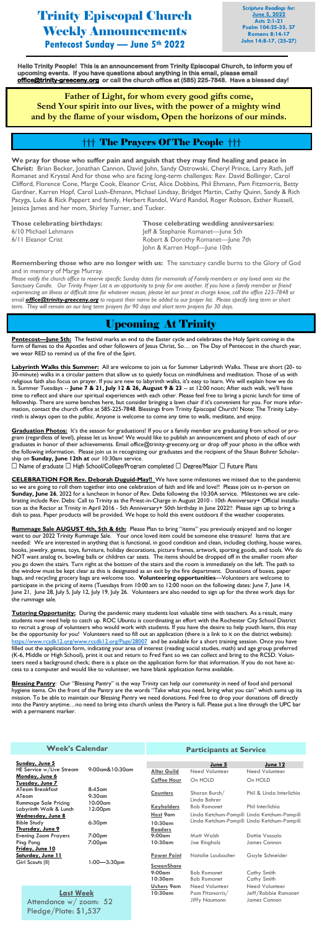# Trinity Episcopal Church Weekly Announcements **Pentecost Sunday — June 5th 2022**

*Scripture Readings for:* **June 5, 2022 Acts 2:1-21 Psalm 104:25-35, 37 Romans 8:14-17 John 14:8-17, (25-27)**

## Upcoming At Trinity

**Pentecost—June 5th:** The festival marks an end to the Easter cycle and celebrates the Holy Spirit coming in the form of flames to the Apostles and other followers of Jesus Christ, So… on The Day of Pentecost in the church year, we wear RED to remind us of the fire of the Spirt.

**Labyrinth Walks this Summer:** All are welcome to join us for Summer Labyrinth Walks. These are short (20- to 30-minute) walks in a circular pattern that allow us to quietly focus on mindfulness and meditation. Those of us with religious faith also focus on prayer. If you are new to labyrinth walks, it's easy to learn. We will explain how we do it. Summer Tuesdays -- **June 7 & 21, July 12 & 26, August 9 & 23** -- at 12:00 noon; After each walk, we'll have time to reflect and share our spiritual experiences with each other. Please feel free to bring a picnic lunch for time of fellowship. There are some benches here, but consider bringing a lawn chair if it's convenient for you. For more information, contact the church office at 585-225-7848. Blessings from Trinity Episcopal Church! Note: The Trinity Labyrinth is always open to the public. Anyone is welcome to come any time to walk, meditate, and enjoy.

**Graduation Photos:** It's the season for graduations! If you or a family member are graduating from school or program (regardless of level), please let us know! We would like to publish an announcement and photo of each of our graduates in honor of their achievements. Email office@trinity-greeceny.org or drop off your photo in the office with the following information. Please join us in recognizing our graduates and the recipient of the Shaun Bohrer Scholarship on **Sunday, June 12th at** our 10:30am service.

**CELEBRATION FOR Rev. Deborah Duguid-May!!** We have some milestones we missed due to the pandemic so we are going to roll them together into one celebration of faith and life and love!! Please join us in-person on **Sunday, June 26**, 2022 for a luncheon in honor of Rev. Debs following the 10:30A service. Milestones we are celebrating include Rev. Debs: Call to Trinity as the Priest-in-Charge in August 2010 - 10th Anniversary+ Official installation as the Rector at Trinity in April 2016 - 5th Anniversary+ 50th birthday in June 2022!! Please sign up to bring a dish to pass. Paper products will be provided. We hope to hold this event outdoors if the weather cooperates.

**Rummage Sale AUGUST 4th, 5th & 6th:** Please Plan to bring "items" you previously enjoyed and no longer want to our 2022 Trinity Rummage Sale. Your once loved item could be someone else treasure! Items that are needed: We are interested in anything that is functional, in good condition and clean, including clothing, house wares, books, jewelry, games, toys, furniture, holiday decorations, picture frames, artwork, sporting goods, and tools. We do NOT want analog tv, bowling balls or children car seats. The items should be dropped off in the smaller room after you go down the stairs. Turn right at the bottom of the stairs and the room is immediately on the left. The path to the window must be kept clear as this is designated as an exit by the fire department. Donations of boxes, paper bags, and recycling grocery bags are welcome too. **Volunteering opportunities**—Volunteers are welcome to participate in the pricing of items (Tuesdays from 10:00 am to 12:00 noon on the following dates: June 7, June 14, June 21, June 28, July 5, July 12, July 19, July 26. Volunteers are also needed to sign up for the three work days for the rummage sale.

**Tutoring Opportunity:** During the pandemic many students lost valuable time with teachers. As a result, many students now need help to catch up. ROC Ubuntu is coordinating an effort with the Rochester City School District to recruit a group of volunteers who would work with students. If you have the desire to help youth learn, this may be the opportunity for you! Volunteers need to fill out an application (there is a link to it on the district website): <https://www.rcsdk12.org/www.rcsdk12.org/Page/28007>and be available for a short training session. Once you have filled out the application form, indicating your area of interest (reading social studies, math) and age group preferred (K-6, Middle or High School), print it out and return to Fred Fant so we can collect and bring to the RCSD. Volunteers need a background check; there is a place on the application form for that information. If you do not have access to a computer and would like to volunteer, we have blank application forms available.

**Blessing Pantry**: Our "Blessing Pantry" is the way Trinity can help our community in need of food and personal hygiene items. On the front of the Pantry are the words "Take what you need, bring what you can" which sums up its mission. To be able to maintain our Blessing Pantry we need donations. Feel free to drop your donations off directly into the Pantry anytime…no need to bring into church unless the Pantry is full. Please put a line through the UPC bar with a permanent marker.

**Hello Trinity People! This is an announcement from Trinity Episcopal Church, to inform you of upcoming events. If you have questions about anything in this email, please email [office@trinity-greeceny.org](mailto:office@trinity-greeceny.org) or call the church office at (585) 225-7848. Have a blessed day!** 

**Father of Light, for whom every good gifts come, Send Your spirit into our lives, with the power of a mighty wind and by the flame of your wisdom, Open the horizons of our minds.**

**We pray for those who suffer pain and anguish that they may find healing and peace in Christ:** Brian Becker, Jonathan Cannon, David John, Sandy Ostrowski, Cheryl Prince, Larry Rath, Jeff Romanet and Krystal And for those who are facing long-term challenges: Rev. David Bollinger, Carol Clifford, Florence Cone, Marge Cook, Eleanor Crist, Alice Dobbins, Phil Ehmann, Pam Fitzmorris, Betty Gardner, Karren Hopf, Carol Lush-Ehmann, Michael Lindsay, Bridget Martin, Cathy Quinn, Sandy & Rich Pacyga, Luke & Rick Pappert and family, Herbert Randol, Ward Randol, Roger Robson, Esther Russell, Jessica James and her mom, Shirley Turner, and Tucker.

**Those celebrating birthdays: Those celebrating wedding anniversaries:** 6/10 Michael Lehmann Jeff & Stephanie Romanet—June 5th 6/11 Eleanor Crist **Robert & Dorothy Romanet—June 7th** John & Karren Hopf—June 10th

**Remembering those who are no longer with us:** The sanctuary candle burns to the Glory of God and in memory of Marge Murray.

*Please notify the church office to reserve specific Sunday dates for memorials of Family members or any loved ones via the* S*anctuary Candle. Our Trinity Prayer List is an opportunity to pray for one another. If you have a family member or friend experiencing an illness or difficult time for whatever reason, please let our priest in charge know, call the office 225-7848 or email [office@trinity-greeceny.org](mailto:office@trinity-greeceny.org) to request their name be added to our prayer list. Please specify long term or short term. They will remain on our long term prayers for 90 days and short term prayers for 30 days.*

### ††† The Prayers Of The People †††

Pledge/Plate: \$1,537

| Sunday, June 5                       |                                              |                    |                    | June 5             | June 12                  |                                             |
|--------------------------------------|----------------------------------------------|--------------------|--------------------|--------------------|--------------------------|---------------------------------------------|
| HE Service w/Live Stream             |                                              | 9:00am&10:30am     |                    | <b>Altar Guild</b> | Need Volunteer           | Need Volunteer                              |
| Monday, June 6                       |                                              |                    |                    | <b>Coffee Hour</b> | On HOLD                  | On HOLD                                     |
| Tuesday, June 7                      |                                              |                    |                    |                    |                          |                                             |
| ATeam Breakfast<br>$8:45$ am         |                                              |                    | <b>Counters</b>    | Sharon Burch/      | Phil & Linda Interlichia |                                             |
| ATeam                                |                                              | $9:30$ am          |                    |                    | Linda Bohrer             |                                             |
| <b>Rummage Sale Pricing</b>          |                                              | 10:00am            |                    |                    |                          |                                             |
| Labyrinth Walk & Lunch               |                                              | 12:00pm            |                    | <b>Keyholders</b>  | <b>Bob Romanet</b>       | Phil Interlichia                            |
| Wednesday, June 8                    |                                              |                    |                    | Host 9am           |                          | Linda Ketchum-Pompili Linda Ketchum-Pompili |
|                                      | <b>Bible Study</b>                           | 6:30 <sub>pm</sub> |                    | $10:30$ am         |                          | Linda Ketchum-Pompili Linda Ketchum-Pompili |
| Thursday, June 9                     |                                              |                    |                    | <b>Readers</b>     |                          |                                             |
|                                      | <b>Evening Zoom Prayers</b>                  | 7:00 <sub>pm</sub> |                    | $9:00$ am          | Matt Walsh               | Dottie Vassalo                              |
|                                      | Ping Pong<br>7:00 <sub>pm</sub>              |                    |                    | 10:30am            | Joe Ringholz             | James Cannon                                |
|                                      | Friday, June 10                              |                    |                    |                    |                          |                                             |
| Saturday, June 11                    |                                              |                    | <b>Power Point</b> | Natalie Laubacher  | Gayle Schneider          |                                             |
| $1:00 - 3:30$ pm<br>Girl Scouts (II) |                                              |                    |                    |                    |                          |                                             |
|                                      |                                              |                    | <b>ScreenShare</b> |                    |                          |                                             |
|                                      |                                              |                    |                    | $9:00$ am          | <b>Bob Romanet</b>       | Cathy Smith                                 |
|                                      |                                              |                    |                    | $10:30$ am         | <b>Bob Romanet</b>       | Cathy Smith                                 |
|                                      | <b>Last Week</b><br>Attendance $w/$ zoom: 52 |                    |                    | <b>Ushers 9am</b>  | Need Volunteer           | Need Volunteer                              |
|                                      |                                              |                    |                    | 10:30am            | Pam Fitzmorris/          | Jeff/Robbie Romanet                         |
|                                      |                                              |                    |                    |                    | <b>Jiffy Naumann</b>     | James Cannon                                |
|                                      |                                              |                    |                    |                    |                          |                                             |

#### **Participants at Service**